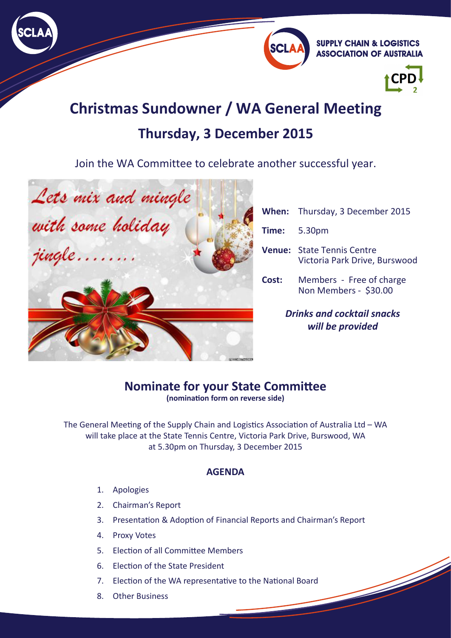



**SUPPLY CHAIN & LOGISTICS ASSOCIATION OF AUSTRALIA** 



# **Christmas Sundowner / WA General Meeting Thursday, 3 December 2015**

Join the WA Committee to celebrate another successful year.



| <b>Drinks and cocktail snacks</b><br>will be provided |                                                                    |
|-------------------------------------------------------|--------------------------------------------------------------------|
| Cost:                                                 | Members - Free of charge<br>Non Members - \$30.00                  |
|                                                       | <b>Venue:</b> State Tennis Centre<br>Victoria Park Drive, Burswood |
|                                                       | <b>Time:</b> 5.30pm                                                |
|                                                       | <b>When:</b> Thursday, 3 December 2015                             |
|                                                       |                                                                    |

#### **Nominate for your State Committee (nomination form on reverse side)**

The General Meeting of the Supply Chain and Logistics Association of Australia Ltd – WA will take place at the State Tennis Centre, Victoria Park Drive, Burswood, WA at 5.30pm on Thursday, 3 December 2015

#### **AGENDA**

- 1. Apologies
- 2. Chairman's Report
- 3. Presentation & Adoption of Financial Reports and Chairman's Report
- 4. Proxy Votes
- 5. Election of all Committee Members
- 6. Election of the State President
- 7. Election of the WA representative to the National Board
- 8. Other Business